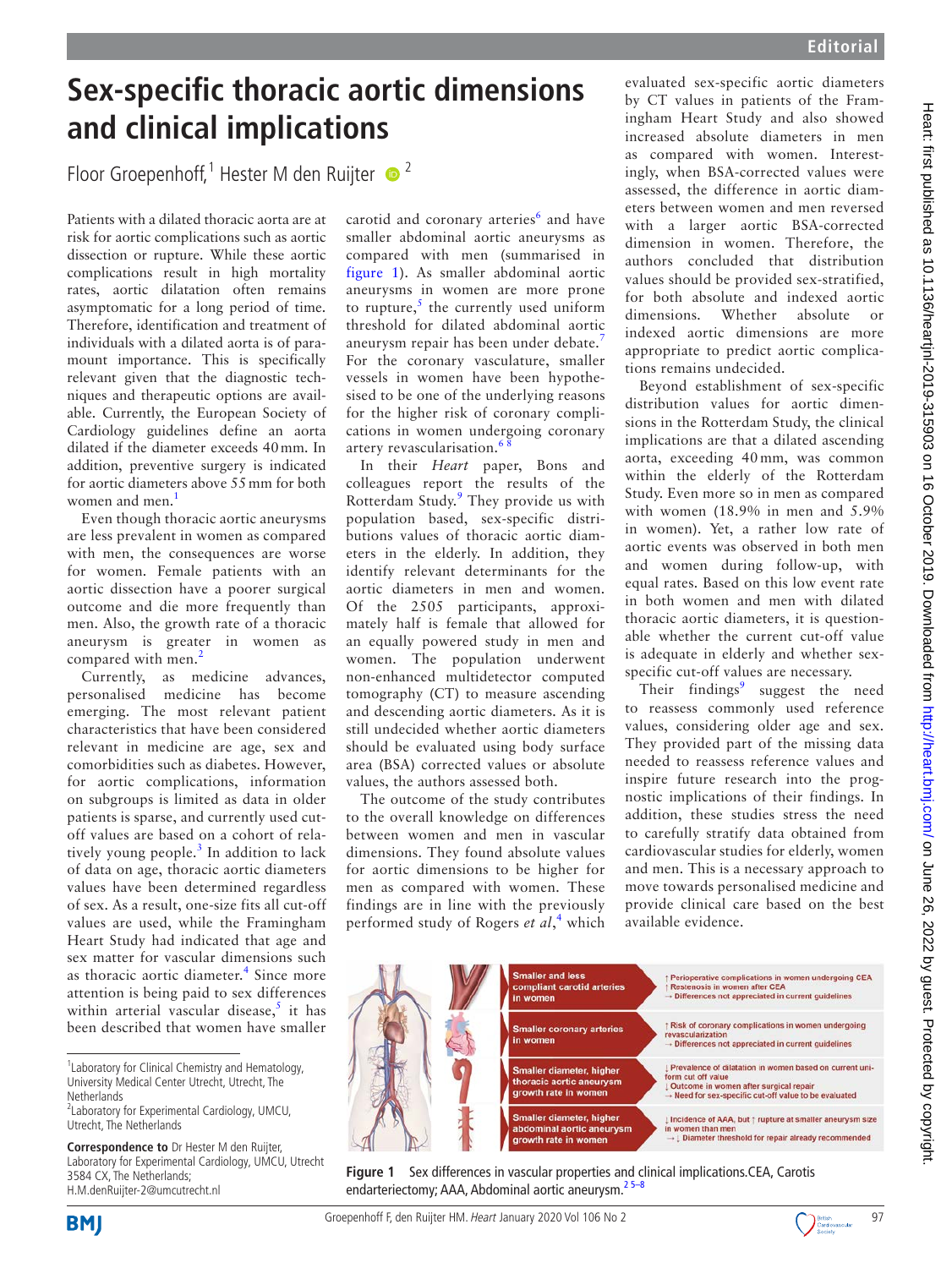# **Sex-specific thoracic aortic dimensions and clinical implications**

Floor Groepenhoff,<sup>1</sup> Hester M den Ruijter  $\bullet$ <sup>2</sup>

Patients with a dilated thoracic aorta are at risk for aortic complications such as aortic dissection or rupture. While these aortic complications result in high mortality rates, aortic dilatation often remains asymptomatic for a long period of time. Therefore, identification and treatment of individuals with a dilated aorta is of paramount importance. This is specifically relevant given that the diagnostic techniques and therapeutic options are available. Currently, the European Society of Cardiology guidelines define an aorta dilated if the diameter exceeds 40mm. In addition, preventive surgery is indicated for aortic diameters above 55mm for both women and men.<sup>[1](#page-1-0)</sup>

Even though thoracic aortic aneurysms are less prevalent in women as compared with men, the consequences are worse for women. Female patients with an aortic dissection have a poorer surgical outcome and die more frequently than men. Also, the growth rate of a thoracic aneurysm is greater in women as compared with men.<sup>[2](#page-1-1)</sup>

Currently, as medicine advances, personalised medicine has become emerging. The most relevant patient characteristics that have been considered relevant in medicine are age, sex and comorbidities such as diabetes. However, for aortic complications, information on subgroups is limited as data in older patients is sparse, and currently used cutoff values are based on a cohort of relatively young people. $3$  In addition to lack of data on age, thoracic aortic diameters values have been determined regardless of sex. As a result, one-size fits all cut-off values are used, while the Framingham Heart Study had indicated that age and sex matter for vascular dimensions such as thoracic aortic diameter.<sup>[4](#page-1-3)</sup> Since more attention is being paid to sex differences within arterial vascular disease, $5$  it has been described that women have smaller

carotid and coronary arteries<sup>[6](#page-1-5)</sup> and have smaller abdominal aortic aneurysms as compared with men (summarised in [figure](#page-0-0) 1). As smaller abdominal aortic aneurysms in women are more prone to rupture, $\frac{s}{s}$  the currently used uniform threshold for dilated abdominal aortic aneurysm repair has been under debate.[7](#page-1-6) For the coronary vasculature, smaller vessels in women have been hypothesised to be one of the underlying reasons for the higher risk of coronary complications in women undergoing coronary artery revascularisation.<sup>6</sup>

In their *Heart* paper, Bons and colleagues report the results of the Rotterdam Study.<sup>[9](#page-1-7)</sup> They provide us with population based, sex-specific distributions values of thoracic aortic diameters in the elderly. In addition, they identify relevant determinants for the aortic diameters in men and women. Of the 2505 participants, approximately half is female that allowed for an equally powered study in men and women. The population underwent non-enhanced multidetector computed tomography (CT) to measure ascending and descending aortic diameters. As it is still undecided whether aortic diameters should be evaluated using body surface area (BSA) corrected values or absolute values, the authors assessed both.

The outcome of the study contributes to the overall knowledge on differences between women and men in vascular dimensions. They found absolute values for aortic dimensions to be higher for men as compared with women. These findings are in line with the previously performed study of Rogers *et al*, [4](#page-1-3) which evaluated sex-specific aortic diameters by CT values in patients of the Framingham Heart Study and also showed increased absolute diameters in men as compared with women. Interestingly, when BSA-corrected values were assessed, the difference in aortic diameters between women and men reversed with a larger aortic BSA-corrected dimension in women. Therefore, the authors concluded that distribution values should be provided sex-stratified, for both absolute and indexed aortic dimensions. Whether absolute or indexed aortic dimensions are more appropriate to predict aortic complications remains undecided.

Beyond establishment of sex-specific distribution values for aortic dimensions in the Rotterdam Study, the clinical implications are that a dilated ascending aorta, exceeding 40 mm, was common within the elderly of the Rotterdam Study. Even more so in men as compared with women (18.9% in men and 5.9% in women). Yet, a rather low rate of aortic events was observed in both men and women during follow-up, with equal rates. Based on this low event rate in both women and men with dilated thoracic aortic diameters, it is questionable whether the current cut-off value is adequate in elderly and whether sexspecific cut-off values are necessary.

Their findings<sup>[9](#page-1-7)</sup> suggest the need to reassess commonly used reference values, considering older age and sex. They provided part of the missing data needed to reassess reference values and inspire future research into the prognostic implications of their findings. In addition, these studies stress the need to carefully stratify data obtained from cardiovascular studies for elderly, women and men. This is a necessary approach to move towards personalised medicine and provide clinical care based on the best available evidence.



<span id="page-0-0"></span>**Figure 1** Sex differences in vascular properties and clinical implications.CEA, Carotis endarteriectomy; AAA, Abdominal aortic aneurysm. $25-8$ 



**BMI** 



<sup>&</sup>lt;sup>1</sup> Laboratory for Clinical Chemistry and Hematology, University Medical Center Utrecht, Utrecht, The **Netherlands** 

<sup>&</sup>lt;sup>2</sup> Laboratory for Experimental Cardiology, UMCU, Utrecht, The Netherlands

**Correspondence to** Dr Hester M den Ruijter, Laboratory for Experimental Cardiology, UMCU, Utrecht 3584 CX, The Netherlands; H.M.denRuijter-2@umcutrecht.nl